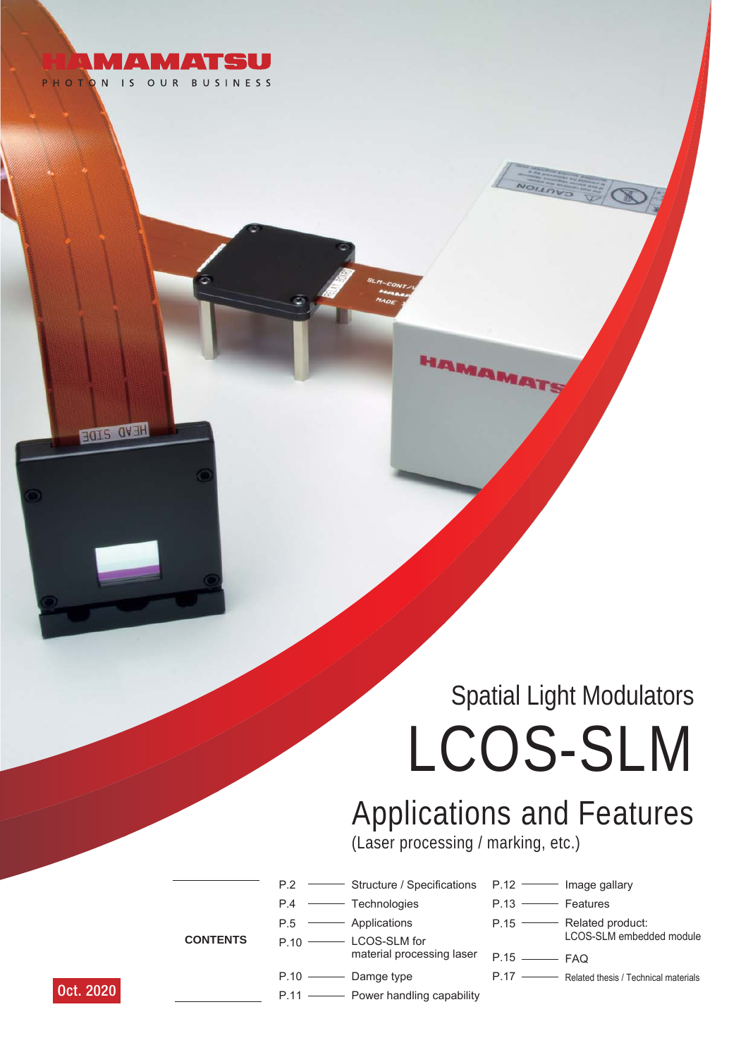

FOLS OVER

# LCOS-SLM Spatial Light Modulators

## Applications and Features (Laser processing / marking, etc.)

**HAMAMAH** 

 $P.2 =$ Structure / Specifications

material processing laser

P.12 **- Image gallary** P.13 **Features**  $P.15$  – P.15  $P.17 -$ - Related product: LCOS-SLM embedded module  $-$  FAQ - Related thesis / Technical materials

**CONTENTS**

- $P.10 =$ - LCOS-SLM for
- 
- $P.10 -$ - Damge type

 $P.4 =$ P.5

 $P.11 -$ **Power handling capability** 

- Technologies Applications

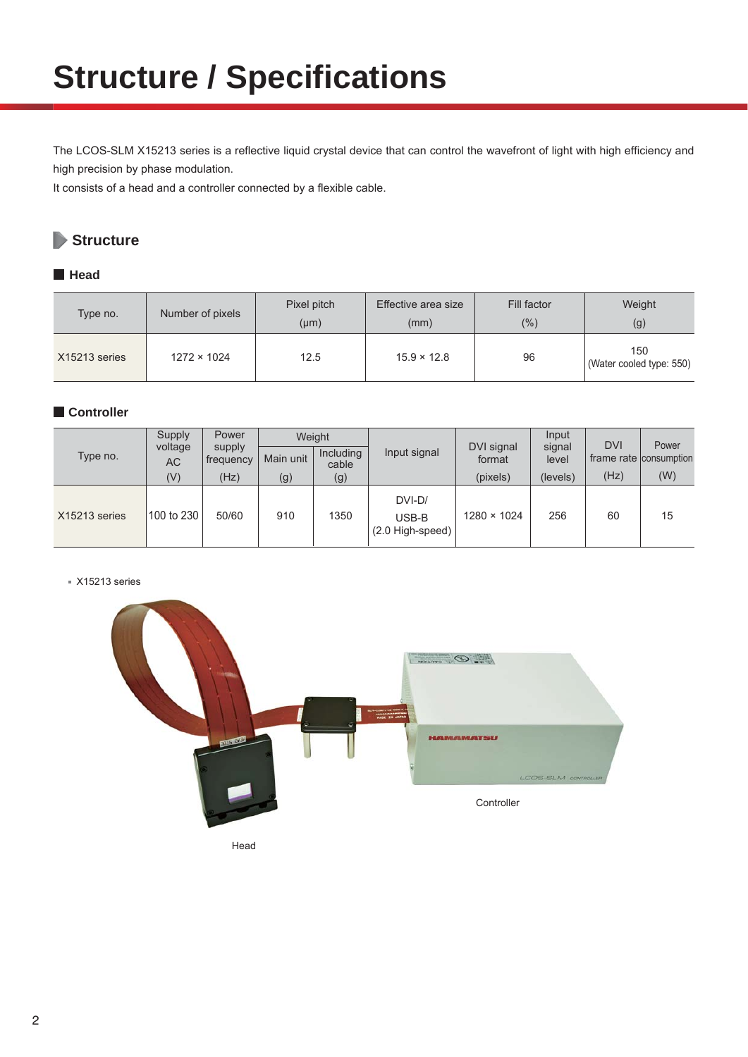## **Structure / Specifications**

The LCOS-SLM X15213 series is a reflective liquid crystal device that can control the wavefront of light with high efficiency and high precision by phase modulation.

It consists of a head and a controller connected by a flexible cable.

## **Structure**

### **Head**

| Type no.      | Number of pixels   | Pixel pitch<br>$(\mu m)$ | Effective area size<br>(mm) | Fill factor<br>(%) | Weight<br>(g)                   |  |
|---------------|--------------------|--------------------------|-----------------------------|--------------------|---------------------------------|--|
| X15213 series | $1272 \times 1024$ | 12.5                     | $15.9 \times 12.8$          | 96                 | 150<br>(Water cooled type: 550) |  |

### **Controller**

| Type no.      | Supply               | Power               | Weight    |                    |                                       |                      | Input           | <b>DVI</b> | Power                  |
|---------------|----------------------|---------------------|-----------|--------------------|---------------------------------------|----------------------|-----------------|------------|------------------------|
|               | voltage<br><b>AC</b> | supply<br>frequency | Main unit | Including<br>cable | Input signal                          | DVI signal<br>format | signal<br>level |            | frame rate consumption |
|               | (V)                  | (Hz)                | (g)       | (g)                |                                       | (pixels)             | (levels)        | (Hz)       | (W)                    |
| X15213 series | 100 to 230           | 50/60               | 910       | 1350               | DVI-D/<br>USB-B<br>$(2.0$ High-speed) | $1280 \times 1024$   | 256             | 60         | 15                     |

■ X15213 series



Head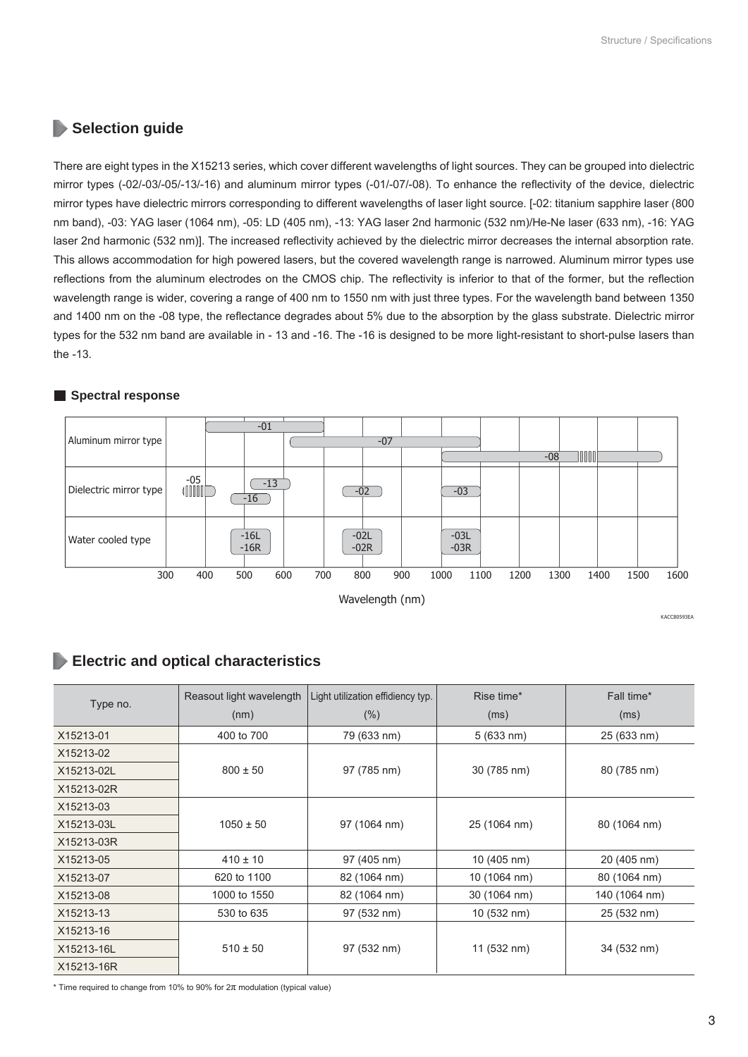### **Selection guide**

There are eight types in the X15213 series, which cover different wavelengths of light sources. They can be grouped into dielectric mirror types (-02/-03/-05/-13/-16) and aluminum mirror types (-01/-07/-08). To enhance the reflectivity of the device, dielectric mirror types have dielectric mirrors corresponding to different wavelengths of laser light source. [-02: titanium sapphire laser (800 nm band), -03: YAG laser (1064 nm), -05: LD (405 nm), -13: YAG laser 2nd harmonic (532 nm)/He-Ne laser (633 nm), -16: YAG laser 2nd harmonic (532 nm)]. The increased reflectivity achieved by the dielectric mirror decreases the internal absorption rate. This allows accommodation for high powered lasers, but the covered wavelength range is narrowed. Aluminum mirror types use reflections from the aluminum electrodes on the CMOS chip. The reflectivity is inferior to that of the former, but the reflection wavelength range is wider, covering a range of 400 nm to 1550 nm with just three types. For the wavelength band between 1350 and 1400 nm on the -08 type, the reflectance degrades about 5% due to the absorption by the glass substrate. Dielectric mirror types for the 532 nm band are available in - 13 and -16. The -16 is designed to be more light-resistant to short-pulse lasers than the -13.

### **Spectral response**



### **Electric and optical characteristics**

| Type no.   | Reasout light wavelength<br>(nm) | Light utilization effidiency typ.<br>(% ) | Rise time*<br>(ms) | Fall time*<br>(ms) |  |  |
|------------|----------------------------------|-------------------------------------------|--------------------|--------------------|--|--|
| X15213-01  | 400 to 700                       | 79 (633 nm)                               | 5(633 nm)          | 25 (633 nm)        |  |  |
| X15213-02  |                                  |                                           |                    |                    |  |  |
| X15213-02L | $800 \pm 50$                     | 97 (785 nm)                               | 30 (785 nm)        | 80 (785 nm)        |  |  |
| X15213-02R |                                  |                                           |                    |                    |  |  |
| X15213-03  |                                  |                                           |                    |                    |  |  |
| X15213-03L | $1050 \pm 50$                    | 97 (1064 nm)                              | 25 (1064 nm)       | 80 (1064 nm)       |  |  |
| X15213-03R |                                  |                                           |                    |                    |  |  |
| X15213-05  | $410 \pm 10$                     | 97 (405 nm)                               | 10 (405 nm)        | 20 (405 nm)        |  |  |
| X15213-07  | 620 to 1100                      | 82 (1064 nm)                              | 10 (1064 nm)       | 80 (1064 nm)       |  |  |
| X15213-08  | 1000 to 1550                     | 82 (1064 nm)                              | 30 (1064 nm)       | 140 (1064 nm)      |  |  |
| X15213-13  | 530 to 635                       | 97 (532 nm)                               | 10 (532 nm)        | 25 (532 nm)        |  |  |
| X15213-16  |                                  |                                           |                    |                    |  |  |
| X15213-16L | $510 \pm 50$                     | 97 (532 nm)                               | 11 (532 nm)        | 34 (532 nm)        |  |  |
| X15213-16R |                                  |                                           |                    |                    |  |  |

 $*$  Time required to change from 10% to 90% for  $2\pi$  modulation (typical value)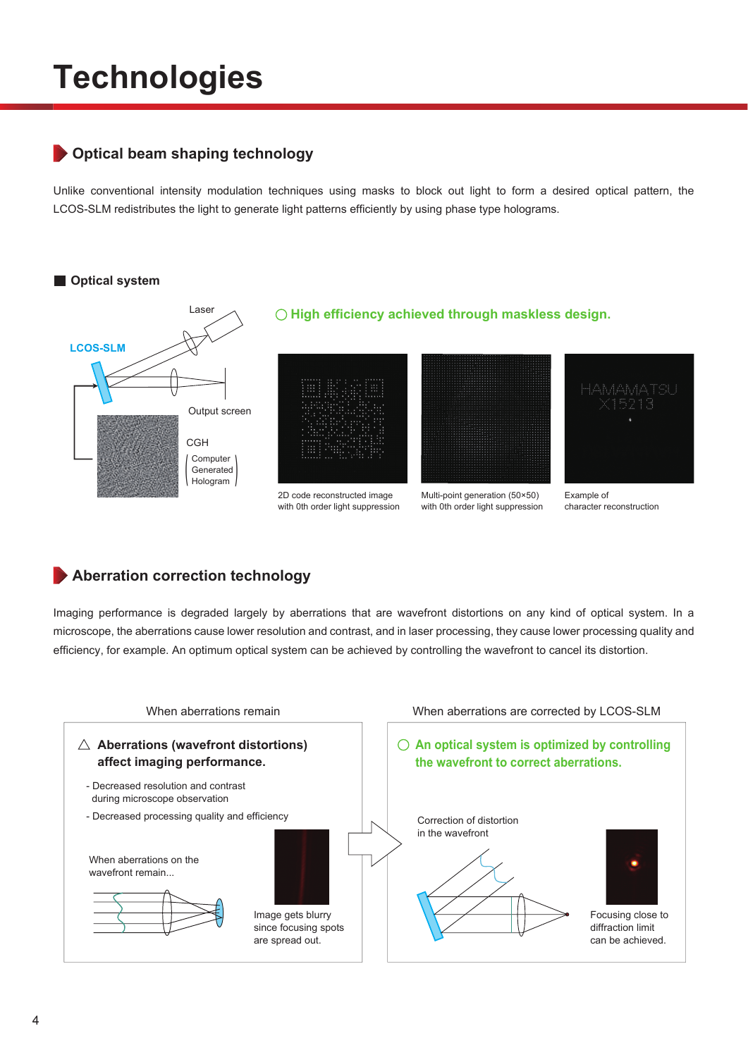## **Technologies**

## **Optical beam shaping technology**

Unlike conventional intensity modulation techniques using masks to block out light to form a desired optical pattern, the LCOS-SLM redistributes the light to generate light patterns efficiently by using phase type holograms.



### **Aberration correction technology**

Imaging performance is degraded largely by aberrations that are wavefront distortions on any kind of optical system. In a microscope, the aberrations cause lower resolution and contrast, and in laser processing, they cause lower processing quality and efficiency, for example. An optimum optical system can be achieved by controlling the wavefront to cancel its distortion.

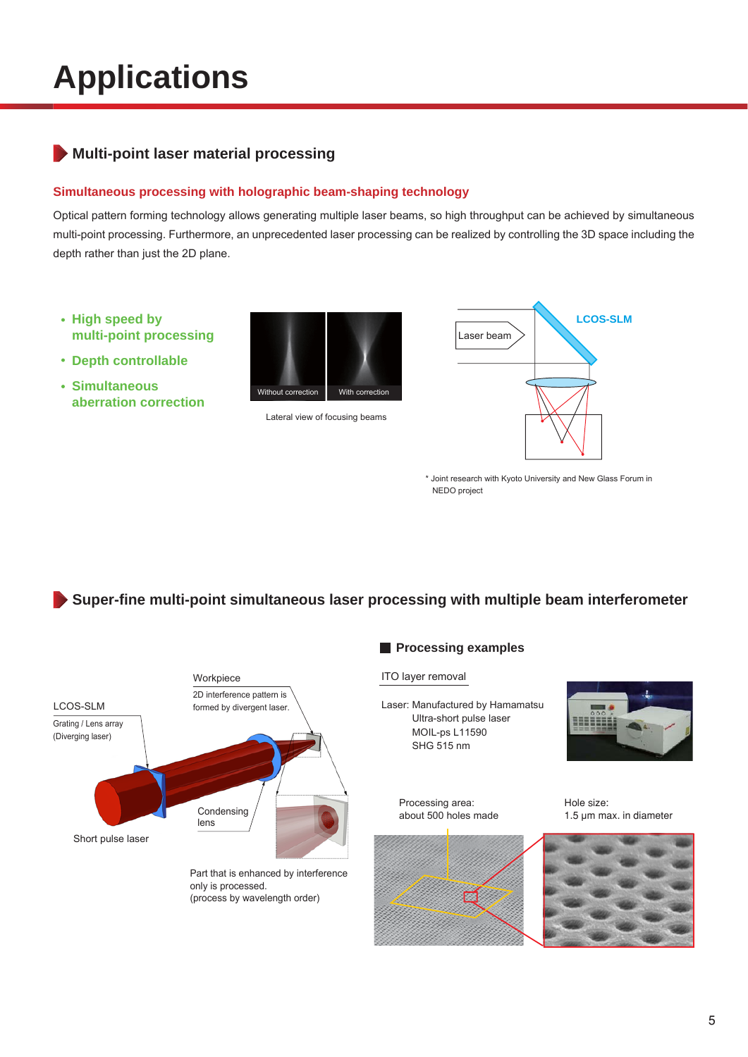## **Applications**

## **Multi-point laser material processing**

### **Simultaneous processing with holographic beam-shaping technology**

Optical pattern forming technology allows generating multiple laser beams, so high throughput can be achieved by simultaneous multi-point processing. Furthermore, an unprecedented laser processing can be realized by controlling the 3D space including the depth rather than just the 2D plane.

- **High speed by multi-point processing**
- **Depth controllable**
- **Simultaneous aberration correction**



Lateral view of focusing beams



\* Joint research with Kyoto University and New Glass Forum in NEDO project

**Super-fine multi-point simultaneous laser processing with multiple beam interferometer**



### **Processing examples**

### ITO layer removal

Processing area: about 500 holes made

Laser: Manufactured by Hamamatsu Ultra-short pulse laser MOIL-ps L11590 SHG 515 nm



Hole size: 1.5 μm max. in diameter

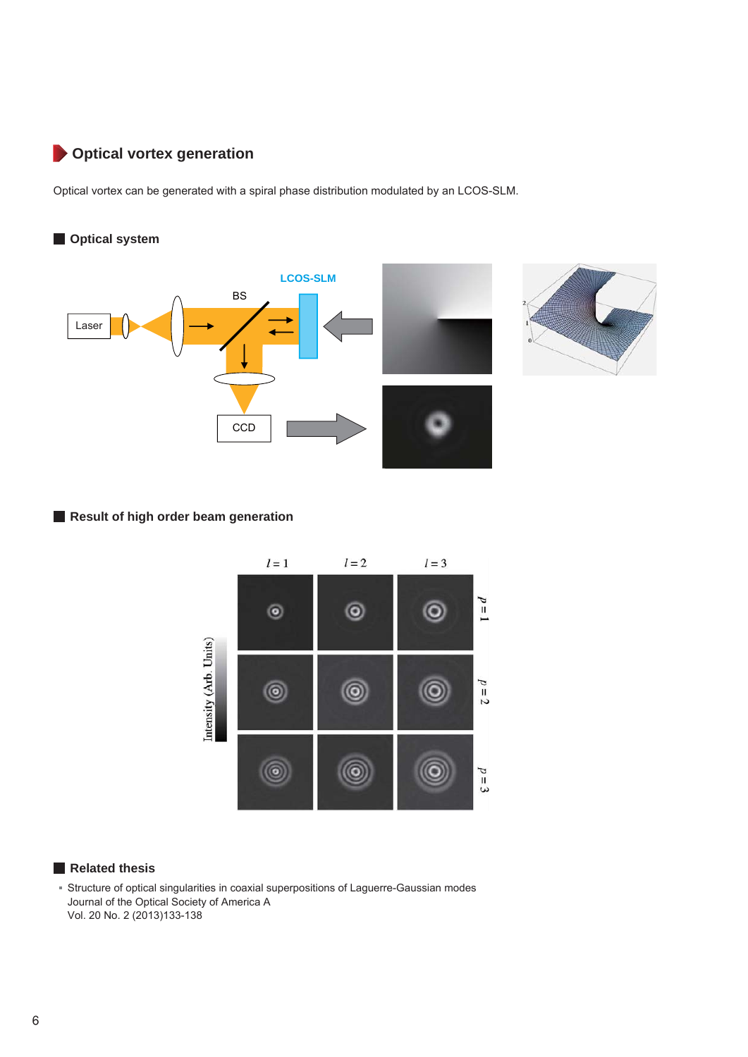## **Optical vortex generation**

Optical vortex can be generated with a spiral phase distribution modulated by an LCOS-SLM.

### **Optical system**



### **Result of high order beam generation**



### **Related thesis**

Structure of optical singularities in coaxial superpositions of Laguerre-Gaussian modes Journal of the Optical Society of America A Vol. 20 No. 2 (2013)133-138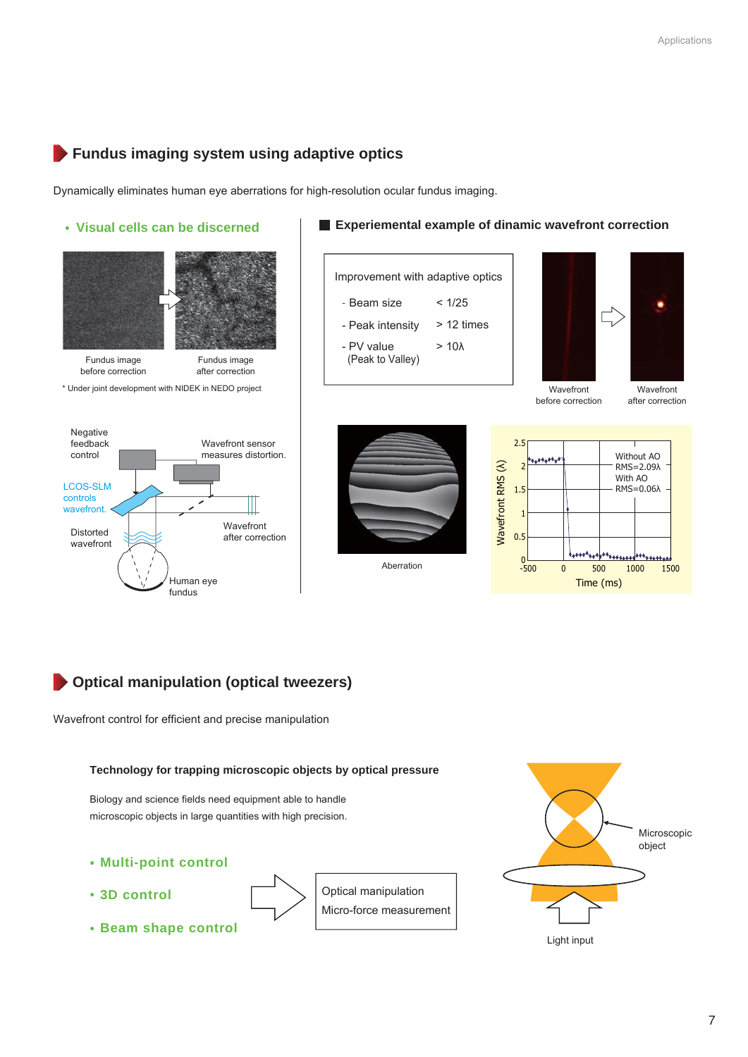## **Fundus imaging system using adaptive optics**

Dynamically eliminates human eye aberrations for high-resolution ocular fundus imaging.



## **Optical manipulation (optical tweezers)**

Wavefront control for efficient and precise manipulation

### **Technology for trapping microscopic objects by optical pressure**

Biology and science fields need equipment able to handle microscopic objects in large quantities with high precision.

**Multi-point control**

**Beam shape control**

- **3D control**
- 

Optical manipulation Micro-force measurement

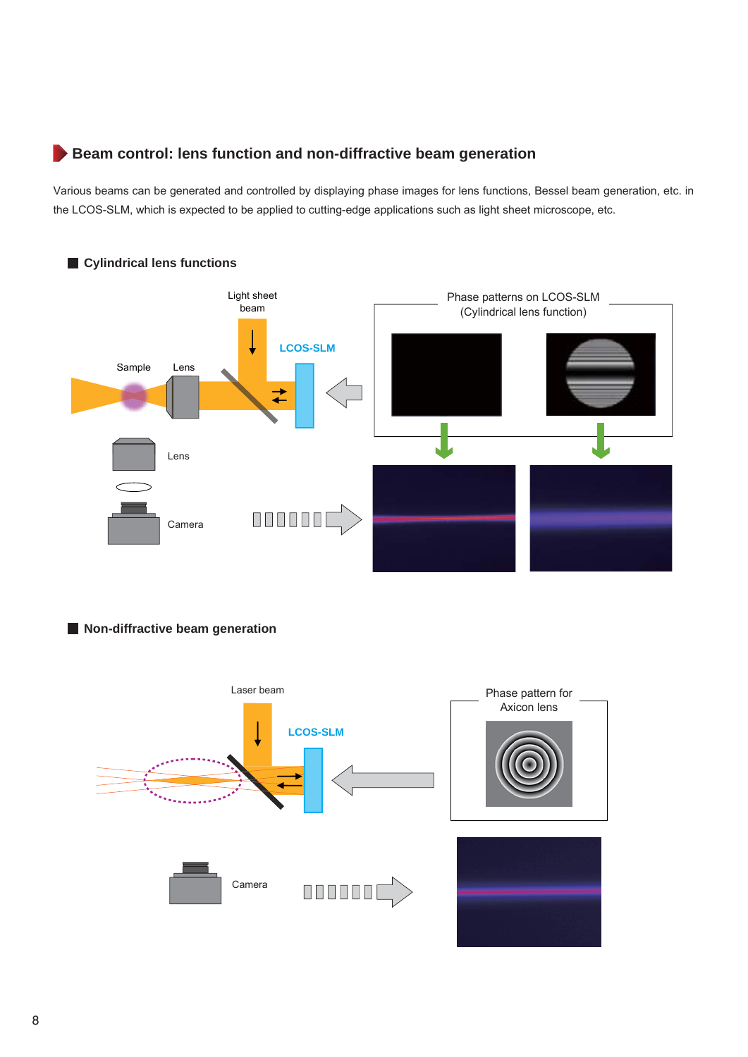### **Beam control: lens function and non-diffractive beam generation**

Various beams can be generated and controlled by displaying phase images for lens functions, Bessel beam generation, etc. in the LCOS-SLM, which is expected to be applied to cutting-edge applications such as light sheet microscope, etc.



### **Non-diffractive beam generation**

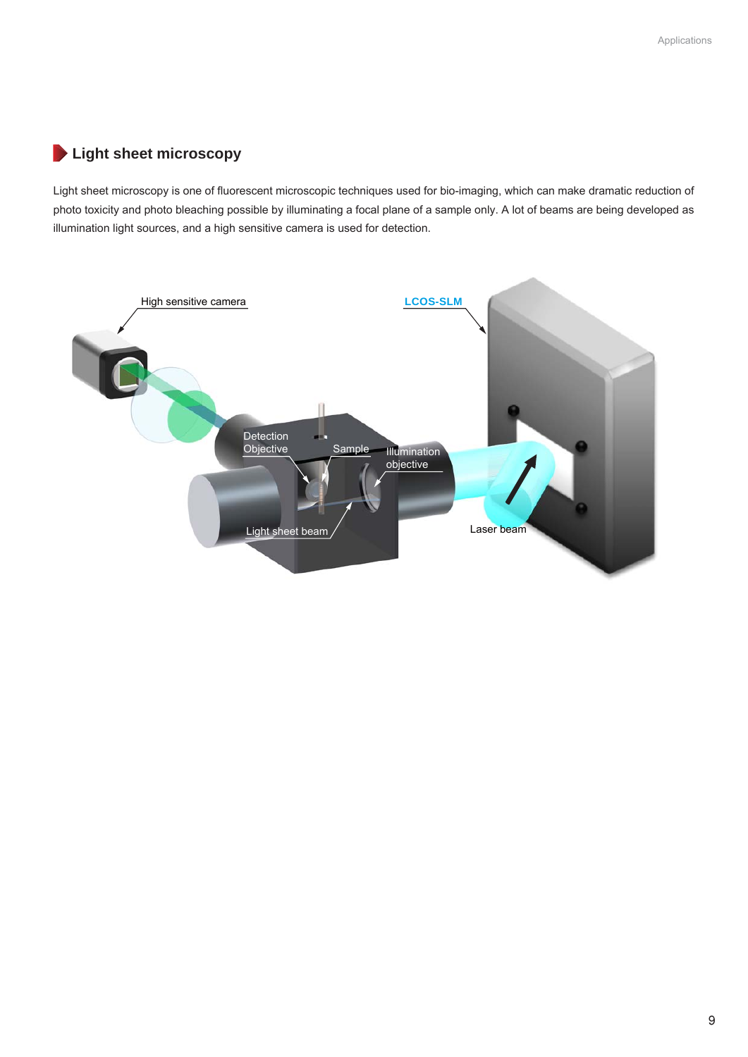### **Light sheet microscopy**

Light sheet microscopy is one of fluorescent microscopic techniques used for bio-imaging, which can make dramatic reduction of photo toxicity and photo bleaching possible by illuminating a focal plane of a sample only. A lot of beams are being developed as illumination light sources, and a high sensitive camera is used for detection.

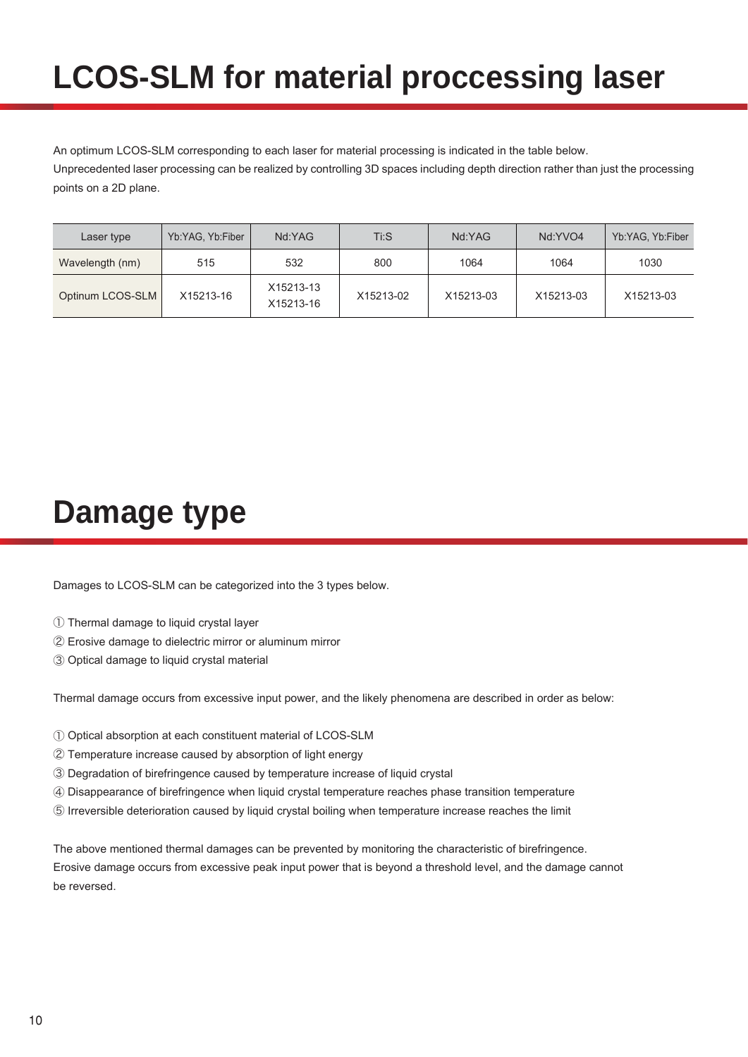## **LCOS-SLM for material proccessing laser**

An optimum LCOS-SLM corresponding to each laser for material processing is indicated in the table below. Unprecedented laser processing can be realized by controlling 3D spaces including depth direction rather than just the processing points on a 2D plane.

| Laser type       | Yb:YAG, Yb:Fiber | Nd:YAG                 | $Ti:$ S   | Nd:YAG    | Nd:YVO4   | Yb:YAG, Yb:Fiber |
|------------------|------------------|------------------------|-----------|-----------|-----------|------------------|
| Wavelength (nm)  | 515              | 532                    | 800       | 1064      | 1064      | 1030             |
| Optinum LCOS-SLM | X15213-16        | X15213-13<br>X15213-16 | X15213-02 | X15213-03 | X15213-03 | X15213-03        |

## **Damage type**

Damages to LCOS-SLM can be categorized into the 3 types below.

- ① Thermal damage to liquid crystal layer
- ② Erosive damage to dielectric mirror or aluminum mirror
- ③ Optical damage to liquid crystal material

Thermal damage occurs from excessive input power, and the likely phenomena are described in order as below:

- ① Optical absorption at each constituent material of LCOS-SLM
- ② Temperature increase caused by absorption of light energy
- ③ Degradation of birefringence caused by temperature increase of liquid crystal
- ④ Disappearance of birefringence when liquid crystal temperature reaches phase transition temperature
- ⑤ Irreversible deterioration caused by liquid crystal boiling when temperature increase reaches the limit

The above mentioned thermal damages can be prevented by monitoring the characteristic of birefringence. Erosive damage occurs from excessive peak input power that is beyond a threshold level, and the damage cannot be reversed.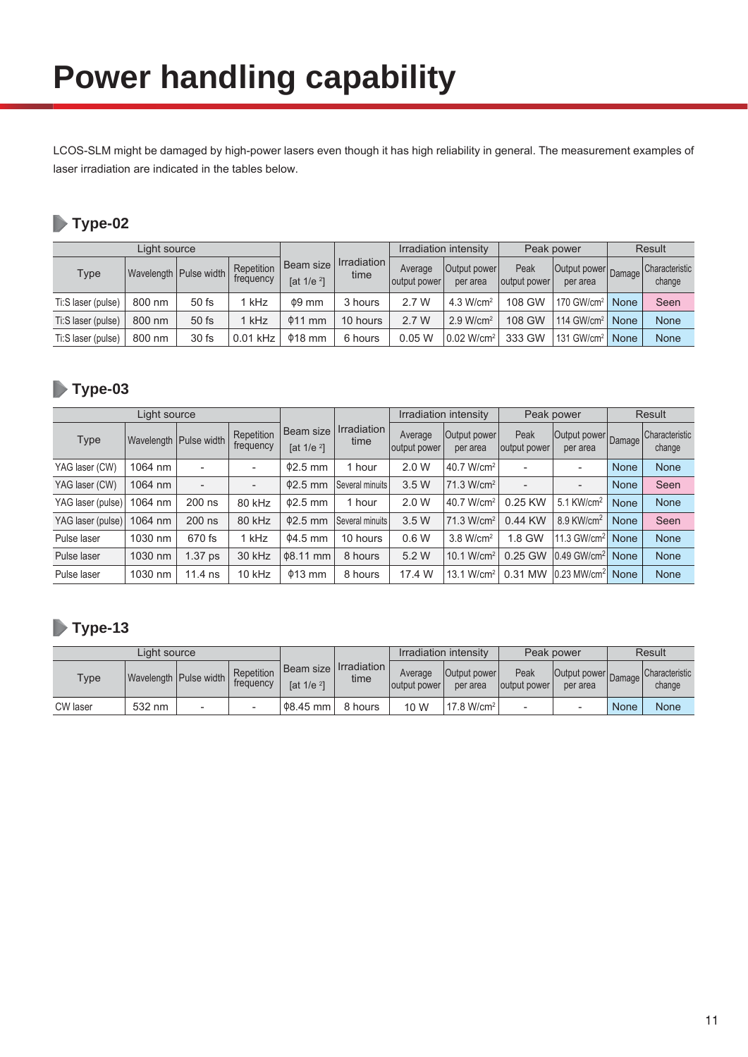LCOS-SLM might be damaged by high-power lasers even though it has high reliability in general. The measurement examples of laser irradiation are indicated in the tables below.

## **Type-02**

|                    |        |                          |                         | Irradiation intensity               |                     | Peak power              |                          | <b>Result</b>        |                                 |             |                          |
|--------------------|--------|--------------------------|-------------------------|-------------------------------------|---------------------|-------------------------|--------------------------|----------------------|---------------------------------|-------------|--------------------------|
| Type               |        | Wavelength   Pulse width | Repetition<br>frequency | Beam size<br>$\int$ at 1/e $^{2}$ ] | Irradiation<br>time | Average<br>output power | Output power<br>per area | Peak<br>output power | Output power Damage<br>per area |             | Characteristic<br>change |
| Ti:S laser (pulse) | 800 nm | $50$ fs                  | kHz                     | $\phi$ 9 mm                         | 3 hours             | 2.7 W                   | $4.3$ W/cm <sup>2</sup>  | 108 GW               | 170 GW/cm <sup>2</sup>          | <b>None</b> | Seen                     |
| Ti:S laser (pulse) | 800 nm | $50$ fs                  | kHz                     | $\phi$ 11 mm                        | 10 hours            | 2.7 W                   | 2.9 W/cm <sup>2</sup>    | 108 GW               | 114 GW/cm <sup>2</sup>          | None        | <b>None</b>              |
| Ti:S laser (pulse) | 800 nm | 30 fs                    | $0.01$ kHz              | $\Phi$ 18 mm                        | 6 hours             | 0.05 W                  | $0.02$ W/cm <sup>2</sup> | 333 GW               | $131$ GW/cm <sup>2</sup>        | None        | None                     |

## **Type-03**

| Light source      |         |                          |                          |                                              | Irradiation intensity      |                         |                           | Peak power               | Result                          |             |                                 |
|-------------------|---------|--------------------------|--------------------------|----------------------------------------------|----------------------------|-------------------------|---------------------------|--------------------------|---------------------------------|-------------|---------------------------------|
| <b>Type</b>       |         | Wavelength   Pulse width | Repetition<br>frequency  | <b>Beam</b> size<br>[at $1/e$ <sup>2</sup> ] | <b>Irradiation</b><br>time | Average<br>output power | Output power<br>per area  | Peak<br>output power     | Output power Damage<br>per area |             | <b>Characteristic</b><br>change |
| YAG laser (CW)    | 1064 nm | $\overline{\phantom{0}}$ | $\overline{\phantom{0}}$ | $\Phi$ 2.5 mm                                | 1 hour                     | 2.0 W                   | 40.7 W/cm <sup>2</sup>    |                          | $\overline{\phantom{0}}$        | None        | <b>None</b>                     |
| YAG laser (CW)    | 1064 nm | $\overline{a}$           | $\overline{\phantom{a}}$ | $\Phi$ 2.5 mm                                | Several minuits            | 3.5W                    | 71.3 W/cm <sup>2</sup>    | $\overline{\phantom{0}}$ | $\overline{\phantom{0}}$        | None        | Seen                            |
| YAG laser (pulse) | 1064 nm | 200 ns                   | 80 kHz                   | $\Phi$ 2.5 mm                                | 1 hour                     | 2.0 W                   | 40.7 W/cm <sup>2 I</sup>  | 0.25 KW                  | $5.1$ KW/cm <sup>2</sup>        | None        | <b>None</b>                     |
| YAG laser (pulse) | 1064 nm | 200 ns                   | 80 kHz                   | $\Phi$ 2.5 mm                                | Several minuits            | 3.5W                    | 71.3 W/cm <sup>2</sup>    | 0.44 KW                  | 8.9 KW/cm <sup>2</sup>          | <b>None</b> | Seen                            |
| Pulse laser       | 1030 nm | 670 fs                   | kHz                      | $04.5$ mm                                    | 10 hours                   | 0.6 W                   | $3.8$ W/cm <sup>2</sup>   | 1.8 GW                   | 11.3 GW/cm <sup>2</sup>         | None        | <b>None</b>                     |
| Pulse laser       | 1030 nm | 1.37 <sub>ps</sub>       | 30 kHz                   | $\Phi$ 8.11 mm                               | 8 hours                    | 5.2 W                   | W/cm <sup>2</sup><br>10.1 | 0.25 GW                  | $0.49$ GW/cm <sup>2</sup>       | None        | <b>None</b>                     |
| Pulse laser       | 1030 nm | $11.4$ ns                | 10 kHz                   | $\Phi$ 13 mm                                 | 8 hours                    | 17.4 W                  | 13.1<br>W/cm <sup>2</sup> | 0.31 MW                  | $0.23$ MW/cm <sup>2</sup>       | None        | <b>None</b>                     |

## **Type-13**

| Light source    |        |                          |                         |                                       |                     | Irradiation intensity   |                          | Peak power           |                                 | <b>Result</b> |                          |
|-----------------|--------|--------------------------|-------------------------|---------------------------------------|---------------------|-------------------------|--------------------------|----------------------|---------------------------------|---------------|--------------------------|
| Type            |        | Wavelength   Pulse width | Repetition<br>frequency | l Beam size<br>$\int$ at 1/e $^{2}$ ] | Irradiation<br>time | Average<br>output power | Output power<br>per area | Peak<br>output power | Output power Damage<br>per area |               | Characteristic<br>change |
| <b>CW</b> laser | 532 nm |                          |                         | $\Phi$ 8.45 mm                        | 8 hours             | 10 W                    | 17.8 W/cm <sup>2</sup>   |                      |                                 | None          | None                     |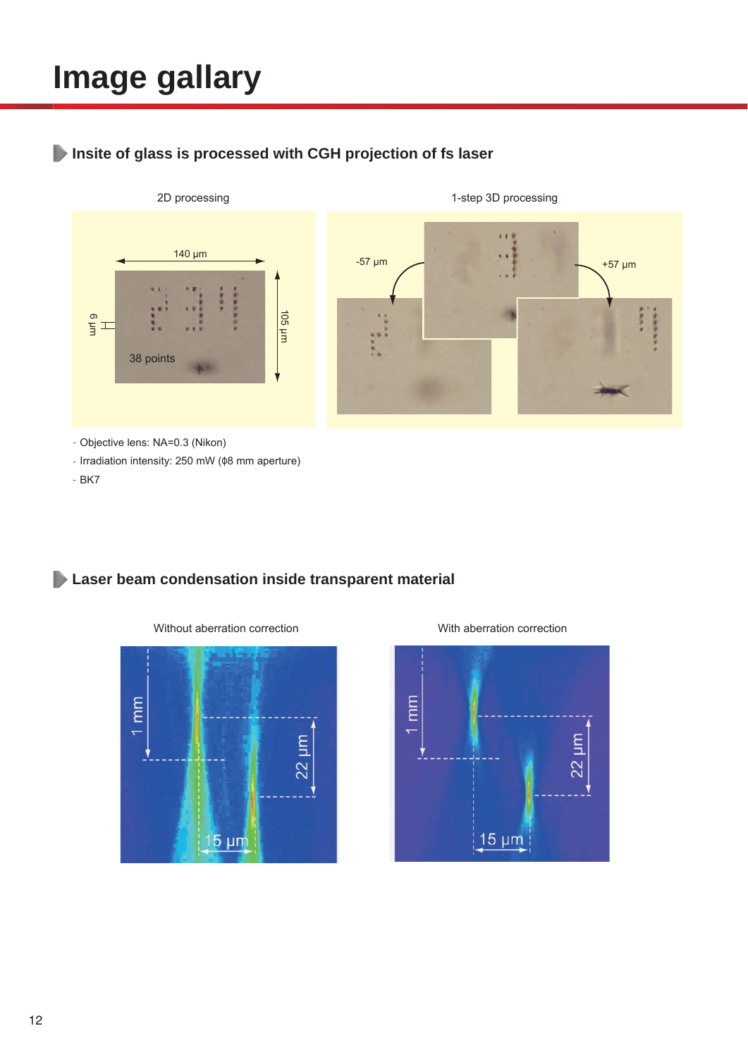## **Image gallary**

## **Insite of glass is processed with CGH projection of fs laser**



- Objective lens: NA=0.3 (Nikon)
- Irradiation intensity: 250 mW (φ8 mm aperture)
- BK7

## **Laser beam condensation inside transparent material**



Without aberration correction With aberration correction

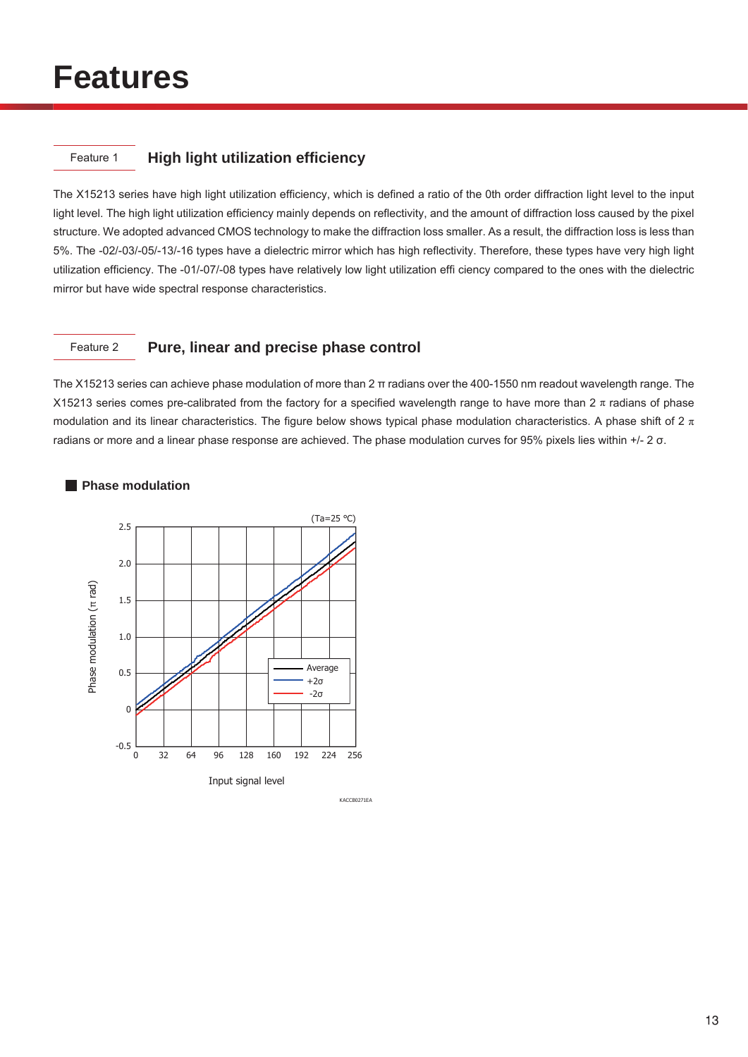## **Features**

### Feature 1 **High light utilization efficiency**

The X15213 series have high light utilization efficiency, which is defined a ratio of the 0th order diffraction light level to the input light level. The high light utilization efficiency mainly depends on reflectivity, and the amount of diffraction loss caused by the pixel structure. We adopted advanced CMOS technology to make the diffraction loss smaller. As a result, the diffraction loss is less than 5%. The -02/-03/-05/-13/-16 types have a dielectric mirror which has high reflectivity. Therefore, these types have very high light utilization efficiency. The -01/-07/-08 types have relatively low light utilization effi ciency compared to the ones with the dielectric mirror but have wide spectral response characteristics.

### Feature 2 **Pure, linear and precise phase control**

The X15213 series can achieve phase modulation of more than 2 π radians over the 400-1550 nm readout wavelength range. The X15213 series comes pre-calibrated from the factory for a specified wavelength range to have more than  $2 \pi$  radians of phase modulation and its linear characteristics. The figure below shows typical phase modulation characteristics. A phase shift of 2  $\pi$ radians or more and a linear phase response are achieved. The phase modulation curves for 95% pixels lies within +/- 2 σ.



### **Phase modulation**

KACCB0271EA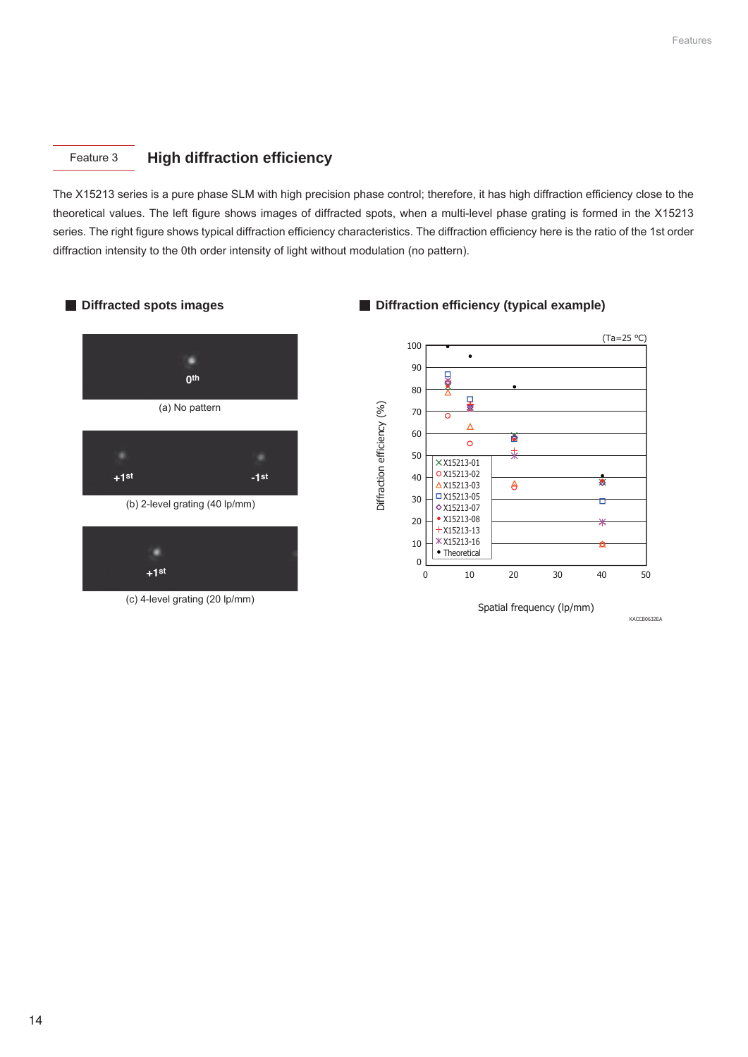### Feature 3 **High diffraction efficiency**

The X15213 series is a pure phase SLM with high precision phase control; therefore, it has high diffraction efficiency close to the theoretical values. The left figure shows images of diffracted spots, when a multi-level phase grating is formed in the X15213 series. The right figure shows typical diffraction efficiency characteristics. The diffraction efficiency here is the ratio of the 1st order diffraction intensity to the 0th order intensity of light without modulation (no pattern).



### (c) 4-level grating (20 lp/mm)

### **Diffracted spots images Diffraction efficiency (typical example)**



14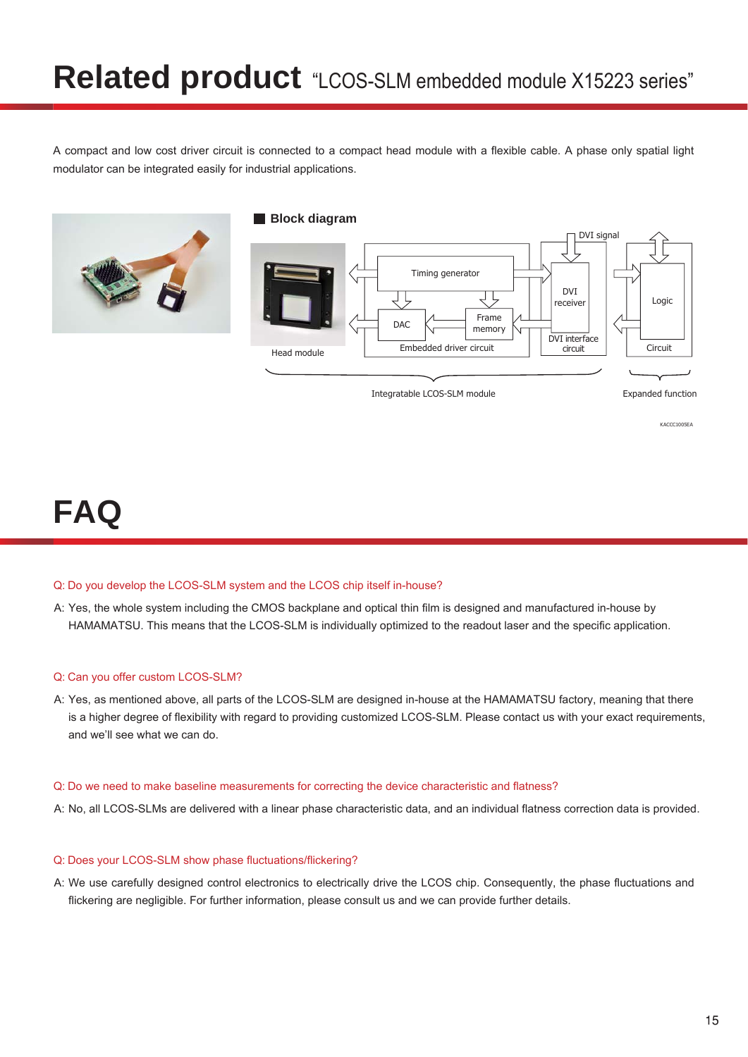A compact and low cost driver circuit is connected to a compact head module with a flexible cable. A phase only spatial light modulator can be integrated easily for industrial applications.



### **Block diagram**



## **FAQ**

### Q: Do you develop the LCOS-SLM system and the LCOS chip itself in-house?

A: Yes, the whole system including the CMOS backplane and optical thin film is designed and manufactured in-house by HAMAMATSU. This means that the LCOS-SLM is individually optimized to the readout laser and the specific application.

### Q: Can you offer custom LCOS-SLM?

A: Yes, as mentioned above, all parts of the LCOS-SLM are designed in-house at the HAMAMATSU factory, meaning that there is a higher degree of flexibility with regard to providing customized LCOS-SLM. Please contact us with your exact requirements, and we'll see what we can do.

### Q: Do we need to make baseline measurements for correcting the device characteristic and flatness?

A: No, all LCOS-SLMs are delivered with a linear phase characteristic data, and an individual flatness correction data is provided.

### Q: Does your LCOS-SLM show phase fluctuations/flickering?

A: We use carefully designed control electronics to electrically drive the LCOS chip. Consequently, the phase fluctuations and flickering are negligible. For further information, please consult us and we can provide further details.

KACCC1005EA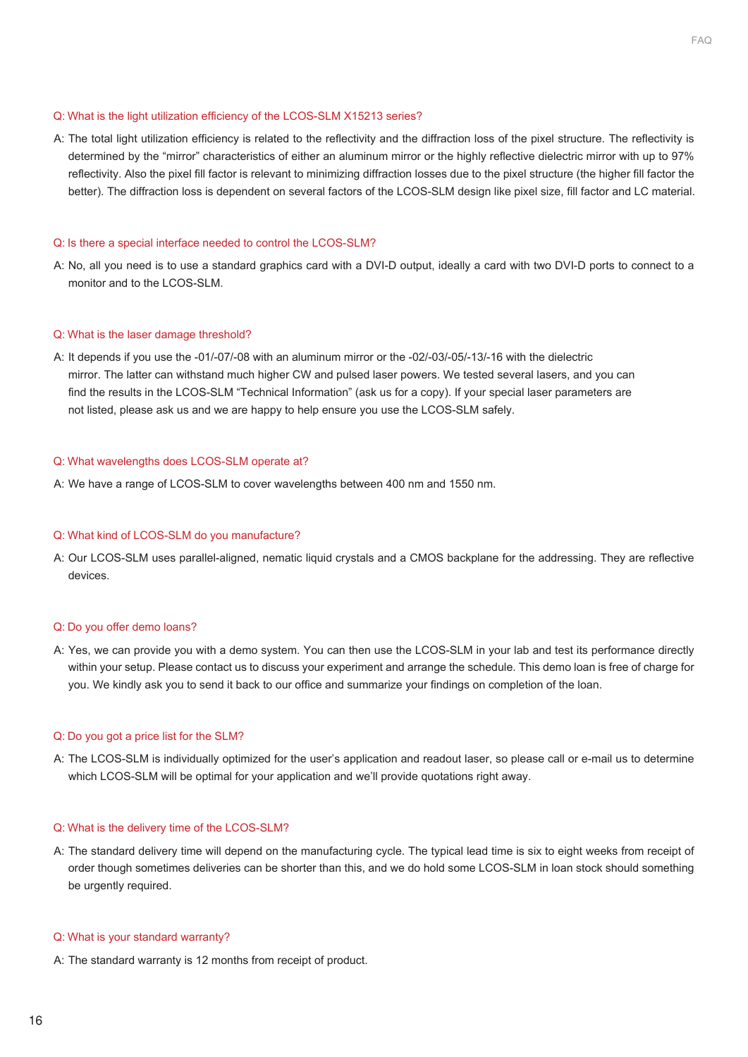### Q: What is the light utilization efficiency of the LCOS-SLM X15213 series?

A: The total light utilization efficiency is related to the reflectivity and the diffraction loss of the pixel structure. The reflectivity is determined by the "mirror" characteristics of either an aluminum mirror or the highly reflective dielectric mirror with up to 97% reflectivity. Also the pixel fill factor is relevant to minimizing diffraction losses due to the pixel structure (the higher fill factor the better). The diffraction loss is dependent on several factors of the LCOS-SLM design like pixel size, fill factor and LC material.

#### Q: Is there a special interface needed to control the LCOS-SLM?

A: No, all you need is to use a standard graphics card with a DVI-D output, ideally a card with two DVI-D ports to connect to a monitor and to the LCOS-SLM.

#### Q: What is the laser damage threshold?

A: It depends if you use the -01/-07/-08 with an aluminum mirror or the -02/-03/-05/-13/-16 with the dielectric mirror. The latter can withstand much higher CW and pulsed laser powers. We tested several lasers, and you can find the results in the LCOS-SLM "Technical Information" (ask us for a copy). If your special laser parameters are not listed, please ask us and we are happy to help ensure you use the LCOS-SLM safely.

#### Q: What wavelengths does LCOS-SLM operate at?

A: We have a range of LCOS-SLM to cover wavelengths between 400 nm and 1550 nm.

#### Q: What kind of LCOS-SLM do you manufacture?

A: Our LCOS-SLM uses parallel-aligned, nematic liquid crystals and a CMOS backplane for the addressing. They are reflective devices.

#### Q: Do you offer demo loans?

A: Yes, we can provide you with a demo system. You can then use the LCOS-SLM in your lab and test its performance directly within your setup. Please contact us to discuss your experiment and arrange the schedule. This demo loan is free of charge for you. We kindly ask you to send it back to our office and summarize your findings on completion of the loan.

#### Q: Do you got a price list for the SLM?

A: The LCOS-SLM is individually optimized for the user's application and readout laser, so please call or e-mail us to determine which LCOS-SLM will be optimal for your application and we'll provide quotations right away.

#### Q: What is the delivery time of the LCOS-SLM?

A: The standard delivery time will depend on the manufacturing cycle. The typical lead time is six to eight weeks from receipt of order though sometimes deliveries can be shorter than this, and we do hold some LCOS-SLM in loan stock should something be urgently required.

#### Q: What is your standard warranty?

A: The standard warranty is 12 months from receipt of product.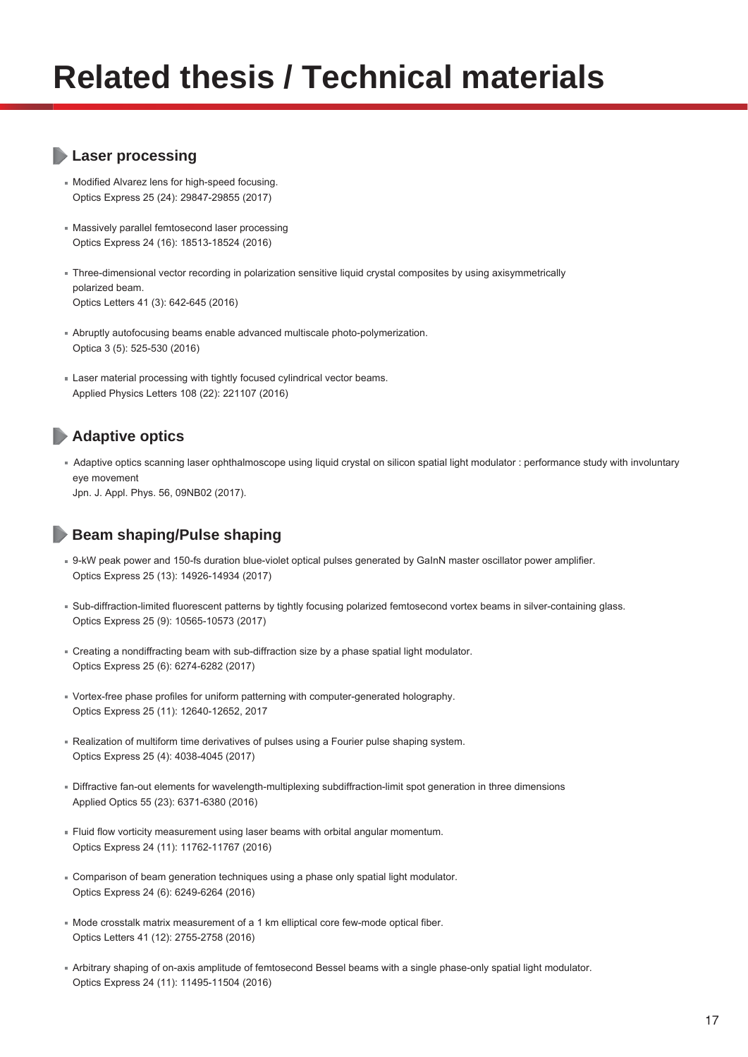## **Related thesis / Technical materials**

### **Laser processing**

- Modified Alvarez lens for high-speed focusing. Optics Express 25 (24): 29847-29855 (2017)
- Massively parallel femtosecond laser processing Optics Express 24 (16): 18513-18524 (2016)
- Three-dimensional vector recording in polarization sensitive liquid crystal composites by using axisymmetrically polarized beam. Optics Letters 41 (3): 642-645 (2016)
- Abruptly autofocusing beams enable advanced multiscale photo-polymerization. Optica 3 (5): 525-530 (2016)
- Laser material processing with tightly focused cylindrical vector beams. Applied Physics Letters 108 (22): 221107 (2016)

### **Adaptive optics**

Adaptive optics scanning laser ophthalmoscope using liquid crystal on silicon spatial light modulator : performance study with involuntary eye movement

Jpn. J. Appl. Phys. 56, 09NB02 (2017).

### **Beam shaping/Pulse shaping**

- 9-kW peak power and 150-fs duration blue-violet optical pulses generated by GaInN master oscillator power amplifier. Optics Express 25 (13): 14926-14934 (2017)
- Sub-diffraction-limited fluorescent patterns by tightly focusing polarized femtosecond vortex beams in silver-containing glass. Optics Express 25 (9): 10565-10573 (2017)
- Creating a nondiffracting beam with sub-diffraction size by a phase spatial light modulator. Optics Express 25 (6): 6274-6282 (2017)
- Vortex-free phase profiles for uniform patterning with computer-generated holography. Optics Express 25 (11): 12640-12652, 2017
- Realization of multiform time derivatives of pulses using a Fourier pulse shaping system. Optics Express 25 (4): 4038-4045 (2017)
- Diffractive fan-out elements for wavelength-multiplexing subdiffraction-limit spot generation in three dimensions Applied Optics 55 (23): 6371-6380 (2016)
- Fluid flow vorticity measurement using laser beams with orbital angular momentum. Optics Express 24 (11): 11762-11767 (2016)
- Comparison of beam generation techniques using a phase only spatial light modulator. Optics Express 24 (6): 6249-6264 (2016)
- Mode crosstalk matrix measurement of a 1 km elliptical core few-mode optical fiber. Optics Letters 41 (12): 2755-2758 (2016)
- Arbitrary shaping of on-axis amplitude of femtosecond Bessel beams with a single phase-only spatial light modulator. Optics Express 24 (11): 11495-11504 (2016)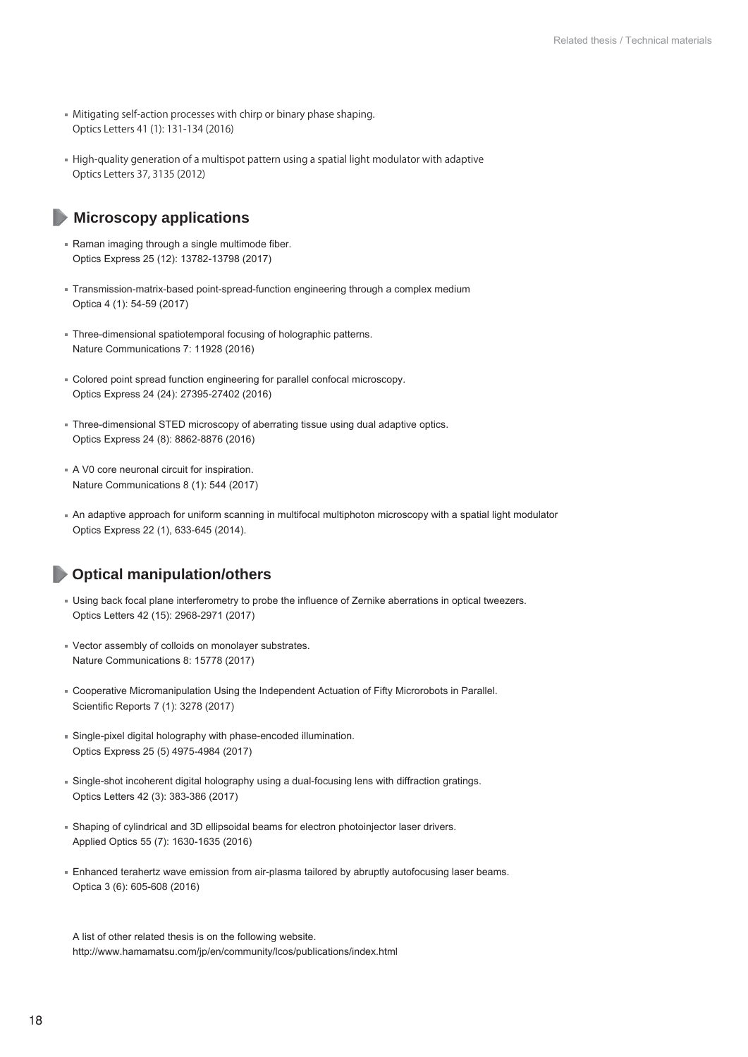- Mitigating self-action processes with chirp or binary phase shaping. Optics Letters 41 (1): 131-134 (2016)
- High-quality generation of a multispot pattern using a spatial light modulator with adaptive Optics Letters 37, 3135 (2012)

### **Microscopy applications**

- Raman imaging through a single multimode fiber. Optics Express 25 (12): 13782-13798 (2017)
- Transmission-matrix-based point-spread-function engineering through a complex medium Optica 4 (1): 54-59 (2017)
- Three-dimensional spatiotemporal focusing of holographic patterns. Nature Communications 7: 11928 (2016)
- Colored point spread function engineering for parallel confocal microscopy. Optics Express 24 (24): 27395-27402 (2016)
- Three-dimensional STED microscopy of aberrating tissue using dual adaptive optics. Optics Express 24 (8): 8862-8876 (2016)
- A V0 core neuronal circuit for inspiration. Nature Communications 8 (1): 544 (2017)
- An adaptive approach for uniform scanning in multifocal multiphoton microscopy with a spatial light modulator Optics Express 22 (1), 633-645 (2014).

### **Optical manipulation/others**

- Using back focal plane interferometry to probe the influence of Zernike aberrations in optical tweezers. Optics Letters 42 (15): 2968-2971 (2017)
- Vector assembly of colloids on monolayer substrates. Nature Communications 8: 15778 (2017)
- Cooperative Micromanipulation Using the Independent Actuation of Fifty Microrobots in Parallel. Scientific Reports 7 (1): 3278 (2017)
- Single-pixel digital holography with phase-encoded illumination. Optics Express 25 (5) 4975-4984 (2017)
- Single-shot incoherent digital holography using a dual-focusing lens with diffraction gratings. Optics Letters 42 (3): 383-386 (2017)
- Shaping of cylindrical and 3D ellipsoidal beams for electron photoinjector laser drivers. Applied Optics 55 (7): 1630-1635 (2016)
- Enhanced terahertz wave emission from air-plasma tailored by abruptly autofocusing laser beams. Optica 3 (6): 605-608 (2016)

A list of other related thesis is on the following website. http://www.hamamatsu.com/jp/en/community/lcos/publications/index.html